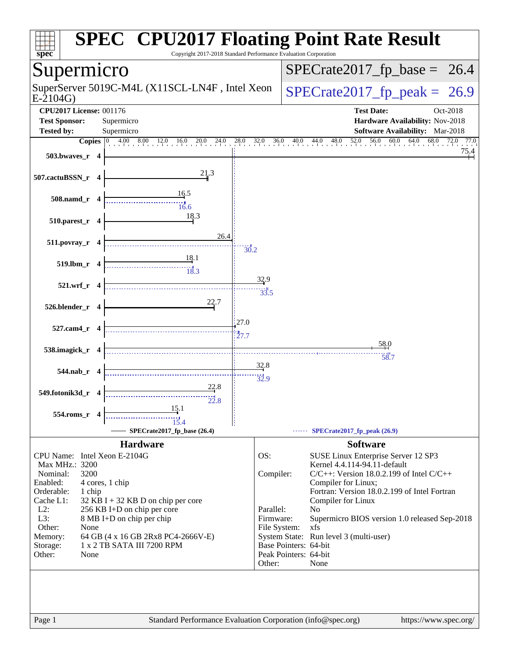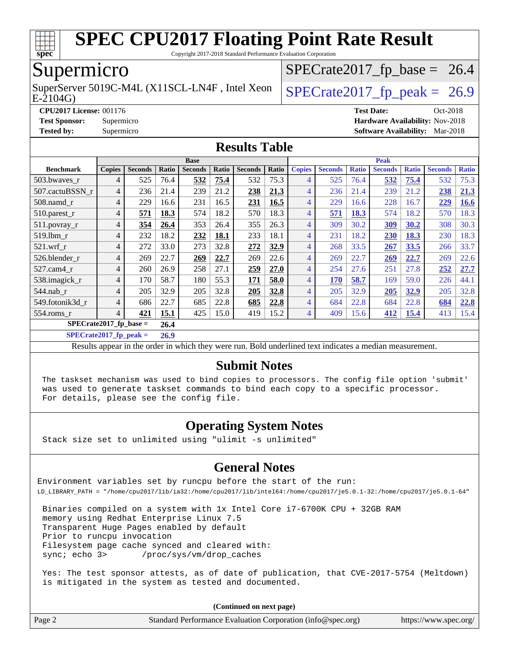

Copyright 2017-2018 Standard Performance Evaluation Corporation

## Supermicro

E-2104G) SuperServer 5019C-M4L (X11SCL-LN4F, Intel Xeon  $\big|$  [SPECrate2017\\_fp\\_peak =](http://www.spec.org/auto/cpu2017/Docs/result-fields.html#SPECrate2017fppeak) 26.9

 $SPECTate2017_fp\_base = 26.4$ 

**[CPU2017 License:](http://www.spec.org/auto/cpu2017/Docs/result-fields.html#CPU2017License)** 001176 **[Test Date:](http://www.spec.org/auto/cpu2017/Docs/result-fields.html#TestDate)** Oct-2018 **[Test Sponsor:](http://www.spec.org/auto/cpu2017/Docs/result-fields.html#TestSponsor)** Supermicro **[Hardware Availability:](http://www.spec.org/auto/cpu2017/Docs/result-fields.html#HardwareAvailability)** Nov-2018 **[Tested by:](http://www.spec.org/auto/cpu2017/Docs/result-fields.html#Testedby)** Supermicro **[Software Availability:](http://www.spec.org/auto/cpu2017/Docs/result-fields.html#SoftwareAvailability)** Mar-2018

#### **[Results Table](http://www.spec.org/auto/cpu2017/Docs/result-fields.html#ResultsTable)**

|                          | <b>Base</b>   |                |       |                |       |                |       | <b>Peak</b>    |                |              |                |              |                |              |
|--------------------------|---------------|----------------|-------|----------------|-------|----------------|-------|----------------|----------------|--------------|----------------|--------------|----------------|--------------|
| <b>Benchmark</b>         | <b>Copies</b> | <b>Seconds</b> | Ratio | <b>Seconds</b> | Ratio | <b>Seconds</b> | Ratio | <b>Copies</b>  | <b>Seconds</b> | <b>Ratio</b> | <b>Seconds</b> | <b>Ratio</b> | <b>Seconds</b> | <b>Ratio</b> |
| 503.bwayes r             | 4             | 525            | 76.4  | 532            | 75.4  | 532            | 75.3  | 4              | 525            | 76.4         | 532            | 75.4         | 532            | 75.3         |
| 507.cactuBSSN r          | 4             | 236            | 21.4  | 239            | 21.2  | 238            | 21.3  | 4              | 236            | 21.4         | 239            | 21.2         | 238            | 21.3         |
| $508$ .namd $r$          | 4             | 229            | 16.6  | 231            | 16.5  | 231            | 16.5  | $\overline{4}$ | 229            | 16.6         | 228            | 16.7         | 229            | <b>16.6</b>  |
| 510.parest_r             | 4             | 571            | 18.3  | 574            | 18.2  | 570            | 18.3  | $\overline{4}$ | 571            | 18.3         | 574            | 18.2         | 570            | 18.3         |
| $511.$ povray_r          | 4             | 354            | 26.4  | 353            | 26.4  | 355            | 26.3  | $\overline{4}$ | 309            | 30.2         | 309            | 30.2         | 308            | 30.3         |
| 519.1bm r                | 4             | 232            | 18.2  | 232            | 18.1  | 233            | 18.1  | $\overline{4}$ | 231            | 18.2         | 230            | 18.3         | 230            | 18.3         |
| $521$ .wrf r             | 4             | 272            | 33.0  | 273            | 32.8  | 272            | 32.9  | $\overline{4}$ | 268            | 33.5         | 267            | 33.5         | 266            | 33.7         |
| 526.blender r            | 4             | 269            | 22.7  | 269            | 22.7  | 269            | 22.6  | $\overline{4}$ | 269            | 22.7         | 269            | 22.7         | 269            | 22.6         |
| 527.cam4 r               | 4             | 260            | 26.9  | 258            | 27.1  | 259            | 27.0  | 4              | 254            | 27.6         | 251            | 27.8         | 252            | 27.7         |
| 538.imagick_r            | 4             | 170            | 58.7  | 180            | 55.3  | 171            | 58.0  | 4              | 170            | 58.7         | 169            | 59.0         | 226            | 44.1         |
| 544.nab r                | 4             | 205            | 32.9  | 205            | 32.8  | 205            | 32.8  | $\overline{4}$ | 205            | 32.9         | 205            | 32.9         | 205            | 32.8         |
| 549.fotonik3d r          | 4             | 686            | 22.7  | 685            | 22.8  | 685            | 22.8  | $\overline{4}$ | 684            | 22.8         | 684            | 22.8         | 684            | 22.8         |
| 554.roms r               | 4             | 421            | 15.1  | 425            | 15.0  | 419            | 15.2  | 4              | 409            | 15.6         | 412            | <u>15.4</u>  | 413            | 15.4         |
| $SPECrate2017$ fp base = |               |                | 26.4  |                |       |                |       |                |                |              |                |              |                |              |

**[SPECrate2017\\_fp\\_peak =](http://www.spec.org/auto/cpu2017/Docs/result-fields.html#SPECrate2017fppeak) 26.9**

Results appear in the [order in which they were run](http://www.spec.org/auto/cpu2017/Docs/result-fields.html#RunOrder). Bold underlined text [indicates a median measurement](http://www.spec.org/auto/cpu2017/Docs/result-fields.html#Median).

### **[Submit Notes](http://www.spec.org/auto/cpu2017/Docs/result-fields.html#SubmitNotes)**

 The taskset mechanism was used to bind copies to processors. The config file option 'submit' was used to generate taskset commands to bind each copy to a specific processor. For details, please see the config file.

## **[Operating System Notes](http://www.spec.org/auto/cpu2017/Docs/result-fields.html#OperatingSystemNotes)**

Stack size set to unlimited using "ulimit -s unlimited"

### **[General Notes](http://www.spec.org/auto/cpu2017/Docs/result-fields.html#GeneralNotes)**

Environment variables set by runcpu before the start of the run: LD\_LIBRARY\_PATH = "/home/cpu2017/lib/ia32:/home/cpu2017/lib/intel64:/home/cpu2017/je5.0.1-32:/home/cpu2017/je5.0.1-64"

 Binaries compiled on a system with 1x Intel Core i7-6700K CPU + 32GB RAM memory using Redhat Enterprise Linux 7.5 Transparent Huge Pages enabled by default Prior to runcpu invocation Filesystem page cache synced and cleared with: sync; echo 3> /proc/sys/vm/drop\_caches

 Yes: The test sponsor attests, as of date of publication, that CVE-2017-5754 (Meltdown) is mitigated in the system as tested and documented.

**(Continued on next page)**

| Page 2 | Standard Performance Evaluation Corporation (info@spec.org) | https://www.spec.org/ |
|--------|-------------------------------------------------------------|-----------------------|
|        |                                                             |                       |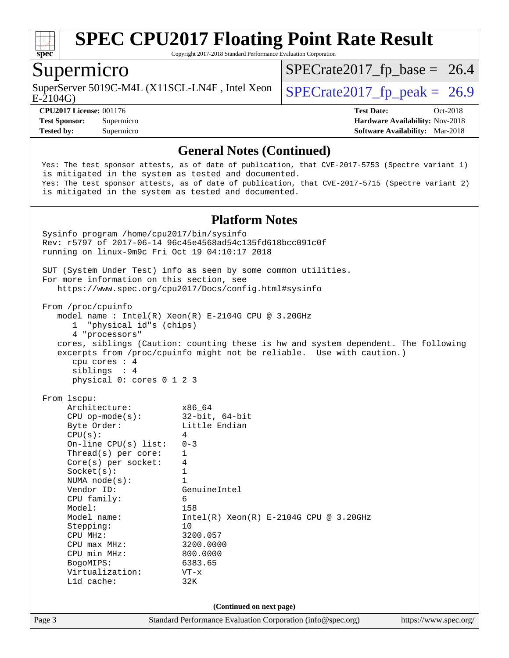

Copyright 2017-2018 Standard Performance Evaluation Corporation

## Supermicro

E-2104G) SuperServer 5019C-M4L (X11SCL-LN4F, Intel Xeon  $\big|$  [SPECrate2017\\_fp\\_peak =](http://www.spec.org/auto/cpu2017/Docs/result-fields.html#SPECrate2017fppeak) 26.9

 $SPECTate2017_fp\_base = 26.4$ 

**[CPU2017 License:](http://www.spec.org/auto/cpu2017/Docs/result-fields.html#CPU2017License)** 001176 **[Test Date:](http://www.spec.org/auto/cpu2017/Docs/result-fields.html#TestDate)** Oct-2018 **[Test Sponsor:](http://www.spec.org/auto/cpu2017/Docs/result-fields.html#TestSponsor)** Supermicro **[Hardware Availability:](http://www.spec.org/auto/cpu2017/Docs/result-fields.html#HardwareAvailability)** Nov-2018 **[Tested by:](http://www.spec.org/auto/cpu2017/Docs/result-fields.html#Testedby)** Supermicro **[Software Availability:](http://www.spec.org/auto/cpu2017/Docs/result-fields.html#SoftwareAvailability)** Mar-2018

### **[General Notes \(Continued\)](http://www.spec.org/auto/cpu2017/Docs/result-fields.html#GeneralNotes)**

 Yes: The test sponsor attests, as of date of publication, that CVE-2017-5753 (Spectre variant 1) is mitigated in the system as tested and documented. Yes: The test sponsor attests, as of date of publication, that CVE-2017-5715 (Spectre variant 2) is mitigated in the system as tested and documented.

#### **[Platform Notes](http://www.spec.org/auto/cpu2017/Docs/result-fields.html#PlatformNotes)**

Page 3 Standard Performance Evaluation Corporation [\(info@spec.org\)](mailto:info@spec.org) <https://www.spec.org/> Sysinfo program /home/cpu2017/bin/sysinfo Rev: r5797 of 2017-06-14 96c45e4568ad54c135fd618bcc091c0f running on linux-9m9c Fri Oct 19 04:10:17 2018 SUT (System Under Test) info as seen by some common utilities. For more information on this section, see <https://www.spec.org/cpu2017/Docs/config.html#sysinfo> From /proc/cpuinfo model name : Intel(R) Xeon(R) E-2104G CPU @ 3.20GHz 1 "physical id"s (chips) 4 "processors" cores, siblings (Caution: counting these is hw and system dependent. The following excerpts from /proc/cpuinfo might not be reliable. Use with caution.) cpu cores : 4 siblings : 4 physical 0: cores 0 1 2 3 From lscpu: Architecture: x86\_64 CPU op-mode(s): 32-bit, 64-bit<br>Byte Order: Little Endian Little Endian  $CPU(s):$  4 On-line CPU(s) list: 0-3 Thread(s) per core: 1 Core(s) per socket: 4 Socket(s): 1 NUMA node(s): 1 Vendor ID: GenuineIntel CPU family: 6 Model: 158 Model name:  $Intel(R)$  Xeon(R) E-2104G CPU @ 3.20GHz Stepping: 10 CPU MHz: 3200.057 CPU max MHz: 3200.0000 CPU min MHz: 800.0000 BogoMIPS: 6383.65 Virtualization: VT-x L1d cache: 32K **(Continued on next page)**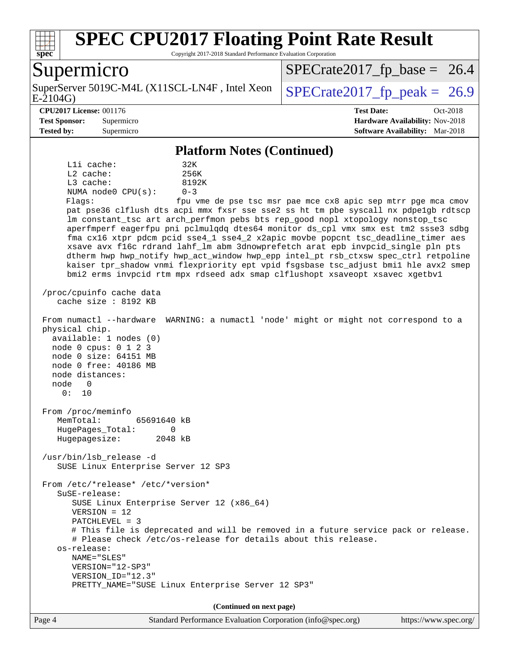

Copyright 2017-2018 Standard Performance Evaluation Corporation

## Supermicro

E-2104G) SuperServer 5019C-M4L (X11SCL-LN4F, Intel Xeon  $\big|$  SPECrate 2017 fp peak = 26.9

 $SPECTate2017_fp\_base = 26.4$ 

#### **[CPU2017 License:](http://www.spec.org/auto/cpu2017/Docs/result-fields.html#CPU2017License)** 001176 **[Test Date:](http://www.spec.org/auto/cpu2017/Docs/result-fields.html#TestDate)** Oct-2018

**[Test Sponsor:](http://www.spec.org/auto/cpu2017/Docs/result-fields.html#TestSponsor)** Supermicro **[Hardware Availability:](http://www.spec.org/auto/cpu2017/Docs/result-fields.html#HardwareAvailability)** Nov-2018 **[Tested by:](http://www.spec.org/auto/cpu2017/Docs/result-fields.html#Testedby)** Supermicro **[Software Availability:](http://www.spec.org/auto/cpu2017/Docs/result-fields.html#SoftwareAvailability)** Mar-2018

#### **[Platform Notes \(Continued\)](http://www.spec.org/auto/cpu2017/Docs/result-fields.html#PlatformNotes)**

L1i cache: 32K L2 cache: 256K L3 cache: 8192K NUMA node0 CPU(s): 0-3 Flags: fpu vme de pse tsc msr pae mce cx8 apic sep mtrr pge mca cmov

 pat pse36 clflush dts acpi mmx fxsr sse sse2 ss ht tm pbe syscall nx pdpe1gb rdtscp lm constant\_tsc art arch\_perfmon pebs bts rep\_good nopl xtopology nonstop\_tsc aperfmperf eagerfpu pni pclmulqdq dtes64 monitor ds\_cpl vmx smx est tm2 ssse3 sdbg fma cx16 xtpr pdcm pcid sse4\_1 sse4\_2 x2apic movbe popcnt tsc\_deadline\_timer aes xsave avx f16c rdrand lahf\_lm abm 3dnowprefetch arat epb invpcid\_single pln pts dtherm hwp hwp\_notify hwp\_act\_window hwp\_epp intel\_pt rsb\_ctxsw spec\_ctrl retpoline kaiser tpr\_shadow vnmi flexpriority ept vpid fsgsbase tsc\_adjust bmi1 hle avx2 smep bmi2 erms invpcid rtm mpx rdseed adx smap clflushopt xsaveopt xsavec xgetbv1

 /proc/cpuinfo cache data cache size : 8192 KB

From numactl --hardware WARNING: a numactl 'node' might or might not correspond to a

 physical chip. available: 1 nodes (0) node 0 cpus: 0 1 2 3 node 0 size: 64151 MB node 0 free: 40186 MB node distances: node 0 0: 10

 From /proc/meminfo MemTotal: 65691640 kB HugePages\_Total: 0 Hugepagesize: 2048 kB

 /usr/bin/lsb\_release -d SUSE Linux Enterprise Server 12 SP3

 From /etc/\*release\* /etc/\*version\* SuSE-release: SUSE Linux Enterprise Server 12 (x86\_64) VERSION = 12 PATCHLEVEL = 3 # This file is deprecated and will be removed in a future service pack or release. # Please check /etc/os-release for details about this release. os-release: NAME="SLES" VERSION="12-SP3" VERSION\_ID="12.3" PRETTY\_NAME="SUSE Linux Enterprise Server 12 SP3"

**(Continued on next page)**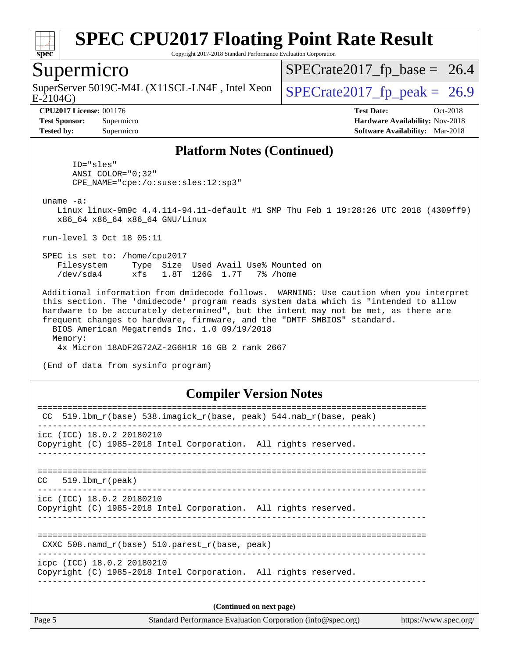

Copyright 2017-2018 Standard Performance Evaluation Corporation

## Supermicro

SuperServer 5019C-M4L (X11SCL-LN4F, Intel Xeon  $\big|$  [SPECrate2017\\_fp\\_peak =](http://www.spec.org/auto/cpu2017/Docs/result-fields.html#SPECrate2017fppeak) 26.9

 $SPECTate2017_fp\_base = 26.4$ 

E-2104G)

**[CPU2017 License:](http://www.spec.org/auto/cpu2017/Docs/result-fields.html#CPU2017License)** 001176 **[Test Date:](http://www.spec.org/auto/cpu2017/Docs/result-fields.html#TestDate)** Oct-2018 **[Test Sponsor:](http://www.spec.org/auto/cpu2017/Docs/result-fields.html#TestSponsor)** Supermicro **[Hardware Availability:](http://www.spec.org/auto/cpu2017/Docs/result-fields.html#HardwareAvailability)** Nov-2018 **[Tested by:](http://www.spec.org/auto/cpu2017/Docs/result-fields.html#Testedby)** Supermicro **[Software Availability:](http://www.spec.org/auto/cpu2017/Docs/result-fields.html#SoftwareAvailability)** Mar-2018

#### **[Platform Notes \(Continued\)](http://www.spec.org/auto/cpu2017/Docs/result-fields.html#PlatformNotes)**

 ID="sles" ANSI\_COLOR="0;32" CPE\_NAME="cpe:/o:suse:sles:12:sp3"

uname -a:

 Linux linux-9m9c 4.4.114-94.11-default #1 SMP Thu Feb 1 19:28:26 UTC 2018 (4309ff9) x86\_64 x86\_64 x86\_64 GNU/Linux

run-level 3 Oct 18 05:11

 SPEC is set to: /home/cpu2017 Filesystem Type Size Used Avail Use% Mounted on /dev/sda4 xfs 1.8T 126G 1.7T 7% /home

 Additional information from dmidecode follows. WARNING: Use caution when you interpret this section. The 'dmidecode' program reads system data which is "intended to allow hardware to be accurately determined", but the intent may not be met, as there are frequent changes to hardware, firmware, and the "DMTF SMBIOS" standard. BIOS American Megatrends Inc. 1.0 09/19/2018 Memory:

4x Micron 18ADF2G72AZ-2G6H1R 16 GB 2 rank 2667

(End of data from sysinfo program)

#### **[Compiler Version Notes](http://www.spec.org/auto/cpu2017/Docs/result-fields.html#CompilerVersionNotes)**

| 519.1bm_r(base) 538.imagick_r(base, peak) 544.nab_r(base, peak)<br>CC |  |  |  |  |  |  |
|-----------------------------------------------------------------------|--|--|--|--|--|--|
| $\text{ice}$ (ICC) 18.0.2 20180210                                    |  |  |  |  |  |  |
| Copyright (C) 1985-2018 Intel Corporation. All rights reserved.       |  |  |  |  |  |  |
|                                                                       |  |  |  |  |  |  |
|                                                                       |  |  |  |  |  |  |
| $CC = 519.1$ bm $r(\text{peak})$                                      |  |  |  |  |  |  |
| icc (ICC) 18.0.2 20180210                                             |  |  |  |  |  |  |
| Copyright (C) 1985-2018 Intel Corporation. All rights reserved.       |  |  |  |  |  |  |
|                                                                       |  |  |  |  |  |  |
|                                                                       |  |  |  |  |  |  |
| CXXC 508. namd $r(base)$ 510. parest $r(base, peak)$                  |  |  |  |  |  |  |
| icpc (ICC) 18.0.2 20180210                                            |  |  |  |  |  |  |
| Copyright (C) 1985-2018 Intel Corporation. All rights reserved.       |  |  |  |  |  |  |
|                                                                       |  |  |  |  |  |  |
|                                                                       |  |  |  |  |  |  |
| (Continued on next page)                                              |  |  |  |  |  |  |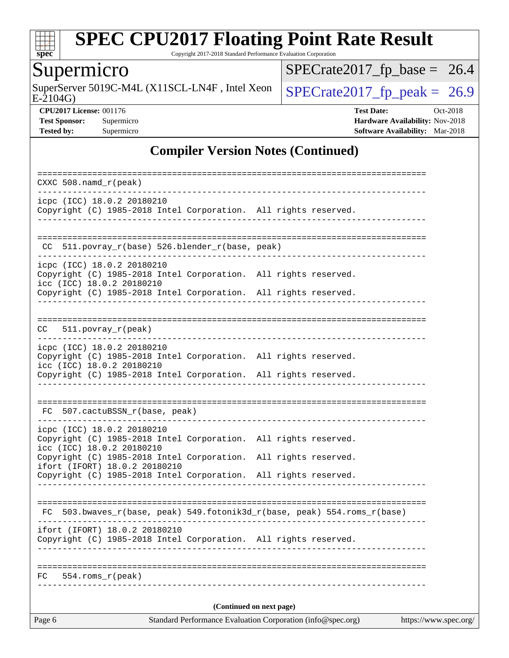

Copyright 2017-2018 Standard Performance Evaluation Corporation

## **Supermicro**

E-2104G) SuperServer 5019C-M4L (X11SCL-LN4F, Intel Xeon  $\sqrt{\text{SPECrate2017\_fp\_peak}} = 26.9$ 

 $SPECrate2017_fp\_base = 26.4$ 

**[CPU2017 License:](http://www.spec.org/auto/cpu2017/Docs/result-fields.html#CPU2017License)** 001176 **[Test Date:](http://www.spec.org/auto/cpu2017/Docs/result-fields.html#TestDate)** Oct-2018 **[Test Sponsor:](http://www.spec.org/auto/cpu2017/Docs/result-fields.html#TestSponsor)** Supermicro **[Hardware Availability:](http://www.spec.org/auto/cpu2017/Docs/result-fields.html#HardwareAvailability)** Nov-2018 **[Tested by:](http://www.spec.org/auto/cpu2017/Docs/result-fields.html#Testedby)** Supermicro **Supermicro [Software Availability:](http://www.spec.org/auto/cpu2017/Docs/result-fields.html#SoftwareAvailability)** Mar-2018

## **[Compiler Version Notes \(Continued\)](http://www.spec.org/auto/cpu2017/Docs/result-fields.html#CompilerVersionNotes)**

| Standard Performance Evaluation Corporation (info@spec.org)<br>Page 6<br>https://www.spec.org/ |  |                                                            |  |                                                                 |  |  |                                                                          |  |
|------------------------------------------------------------------------------------------------|--|------------------------------------------------------------|--|-----------------------------------------------------------------|--|--|--------------------------------------------------------------------------|--|
| (Continued on next page)                                                                       |  |                                                            |  |                                                                 |  |  |                                                                          |  |
| FC                                                                                             |  | 554.roms r(peak)                                           |  |                                                                 |  |  |                                                                          |  |
|                                                                                                |  |                                                            |  |                                                                 |  |  |                                                                          |  |
|                                                                                                |  | ifort (IFORT) 18.0.2 20180210                              |  | Copyright (C) 1985-2018 Intel Corporation. All rights reserved. |  |  |                                                                          |  |
|                                                                                                |  |                                                            |  |                                                                 |  |  | FC 503.bwaves_r(base, peak) 549.fotonik3d_r(base, peak) 554.roms_r(base) |  |
|                                                                                                |  |                                                            |  | Copyright (C) 1985-2018 Intel Corporation. All rights reserved. |  |  |                                                                          |  |
|                                                                                                |  | icc (ICC) 18.0.2 20180210<br>ifort (IFORT) 18.0.2 20180210 |  | Copyright (C) 1985-2018 Intel Corporation. All rights reserved. |  |  |                                                                          |  |
|                                                                                                |  | icpc (ICC) 18.0.2 20180210                                 |  | Copyright (C) 1985-2018 Intel Corporation. All rights reserved. |  |  |                                                                          |  |
|                                                                                                |  | FC 507.cactuBSSN_r(base, peak)                             |  |                                                                 |  |  |                                                                          |  |
|                                                                                                |  |                                                            |  | Copyright (C) 1985-2018 Intel Corporation. All rights reserved. |  |  |                                                                          |  |
|                                                                                                |  | icpc (ICC) 18.0.2 20180210<br>icc (ICC) 18.0.2 20180210    |  | Copyright (C) 1985-2018 Intel Corporation. All rights reserved. |  |  |                                                                          |  |
| CC                                                                                             |  | $511. povray_r (peak)$                                     |  |                                                                 |  |  |                                                                          |  |
|                                                                                                |  |                                                            |  | Copyright (C) 1985-2018 Intel Corporation. All rights reserved. |  |  |                                                                          |  |
|                                                                                                |  | icpc (ICC) 18.0.2 20180210<br>icc (ICC) 18.0.2 20180210    |  | Copyright (C) 1985-2018 Intel Corporation. All rights reserved. |  |  |                                                                          |  |
| CC.                                                                                            |  |                                                            |  | 511.povray_r(base) 526.blender_r(base, peak)                    |  |  |                                                                          |  |
|                                                                                                |  |                                                            |  | Copyright (C) 1985-2018 Intel Corporation. All rights reserved. |  |  |                                                                          |  |
|                                                                                                |  | icpc (ICC) 18.0.2 20180210                                 |  |                                                                 |  |  |                                                                          |  |
|                                                                                                |  | $CXXC 508.namd_r (peak)$                                   |  |                                                                 |  |  |                                                                          |  |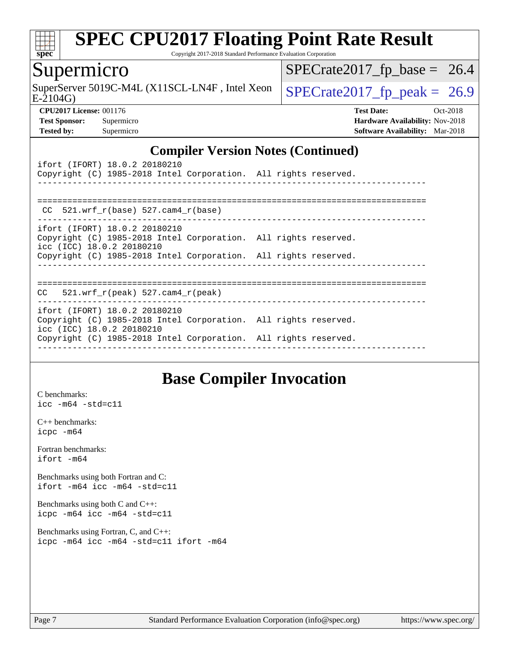

Copyright 2017-2018 Standard Performance Evaluation Corporation

## Supermicro

 $E-2104G$ SuperServer 5019C-M4L (X11SCL-LN4F, Intel Xeon  $\left\{$  [SPECrate2017\\_fp\\_peak =](http://www.spec.org/auto/cpu2017/Docs/result-fields.html#SPECrate2017fppeak) 26.9

 $SPECTate2017_fp\_base = 26.4$ 

**[CPU2017 License:](http://www.spec.org/auto/cpu2017/Docs/result-fields.html#CPU2017License)** 001176 **[Test Date:](http://www.spec.org/auto/cpu2017/Docs/result-fields.html#TestDate)** Oct-2018 **[Test Sponsor:](http://www.spec.org/auto/cpu2017/Docs/result-fields.html#TestSponsor)** Supermicro **[Hardware Availability:](http://www.spec.org/auto/cpu2017/Docs/result-fields.html#HardwareAvailability)** Nov-2018 **[Tested by:](http://www.spec.org/auto/cpu2017/Docs/result-fields.html#Testedby)** Supermicro **[Software Availability:](http://www.spec.org/auto/cpu2017/Docs/result-fields.html#SoftwareAvailability)** Mar-2018

### **[Compiler Version Notes \(Continued\)](http://www.spec.org/auto/cpu2017/Docs/result-fields.html#CompilerVersionNotes)**

| ifort (IFORT) 18.0.2 20180210<br>Copyright (C) 1985-2018 Intel Corporation. All rights reserved.                                                                                                 |  |
|--------------------------------------------------------------------------------------------------------------------------------------------------------------------------------------------------|--|
| $CC$ 521.wrf $r(base)$ 527.cam4 $r(base)$                                                                                                                                                        |  |
| ifort (IFORT) 18.0.2 20180210<br>Copyright (C) 1985-2018 Intel Corporation. All rights reserved.<br>icc (ICC) 18.0.2 20180210<br>Copyright (C) 1985-2018 Intel Corporation. All rights reserved. |  |
| $CC$ 521.wrf $r(\text{peak})$ 527.cam4 $r(\text{peak})$                                                                                                                                          |  |
| ifort (IFORT) 18.0.2 20180210                                                                                                                                                                    |  |
| Copyright (C) 1985-2018 Intel Corporation. All rights reserved.<br>icc (ICC) 18.0.2 20180210<br>Copyright (C) 1985-2018 Intel Corporation. All rights reserved.                                  |  |

## **[Base Compiler Invocation](http://www.spec.org/auto/cpu2017/Docs/result-fields.html#BaseCompilerInvocation)**

[C benchmarks](http://www.spec.org/auto/cpu2017/Docs/result-fields.html#Cbenchmarks): [icc -m64 -std=c11](http://www.spec.org/cpu2017/results/res2018q4/cpu2017-20181112-09608.flags.html#user_CCbase_intel_icc_64bit_c11_33ee0cdaae7deeeab2a9725423ba97205ce30f63b9926c2519791662299b76a0318f32ddfffdc46587804de3178b4f9328c46fa7c2b0cd779d7a61945c91cd35)

[C++ benchmarks:](http://www.spec.org/auto/cpu2017/Docs/result-fields.html#CXXbenchmarks) [icpc -m64](http://www.spec.org/cpu2017/results/res2018q4/cpu2017-20181112-09608.flags.html#user_CXXbase_intel_icpc_64bit_4ecb2543ae3f1412ef961e0650ca070fec7b7afdcd6ed48761b84423119d1bf6bdf5cad15b44d48e7256388bc77273b966e5eb805aefd121eb22e9299b2ec9d9)

[Fortran benchmarks](http://www.spec.org/auto/cpu2017/Docs/result-fields.html#Fortranbenchmarks): [ifort -m64](http://www.spec.org/cpu2017/results/res2018q4/cpu2017-20181112-09608.flags.html#user_FCbase_intel_ifort_64bit_24f2bb282fbaeffd6157abe4f878425411749daecae9a33200eee2bee2fe76f3b89351d69a8130dd5949958ce389cf37ff59a95e7a40d588e8d3a57e0c3fd751)

[Benchmarks using both Fortran and C](http://www.spec.org/auto/cpu2017/Docs/result-fields.html#BenchmarksusingbothFortranandC): [ifort -m64](http://www.spec.org/cpu2017/results/res2018q4/cpu2017-20181112-09608.flags.html#user_CC_FCbase_intel_ifort_64bit_24f2bb282fbaeffd6157abe4f878425411749daecae9a33200eee2bee2fe76f3b89351d69a8130dd5949958ce389cf37ff59a95e7a40d588e8d3a57e0c3fd751) [icc -m64 -std=c11](http://www.spec.org/cpu2017/results/res2018q4/cpu2017-20181112-09608.flags.html#user_CC_FCbase_intel_icc_64bit_c11_33ee0cdaae7deeeab2a9725423ba97205ce30f63b9926c2519791662299b76a0318f32ddfffdc46587804de3178b4f9328c46fa7c2b0cd779d7a61945c91cd35)

[Benchmarks using both C and C++](http://www.spec.org/auto/cpu2017/Docs/result-fields.html#BenchmarksusingbothCandCXX): [icpc -m64](http://www.spec.org/cpu2017/results/res2018q4/cpu2017-20181112-09608.flags.html#user_CC_CXXbase_intel_icpc_64bit_4ecb2543ae3f1412ef961e0650ca070fec7b7afdcd6ed48761b84423119d1bf6bdf5cad15b44d48e7256388bc77273b966e5eb805aefd121eb22e9299b2ec9d9) [icc -m64 -std=c11](http://www.spec.org/cpu2017/results/res2018q4/cpu2017-20181112-09608.flags.html#user_CC_CXXbase_intel_icc_64bit_c11_33ee0cdaae7deeeab2a9725423ba97205ce30f63b9926c2519791662299b76a0318f32ddfffdc46587804de3178b4f9328c46fa7c2b0cd779d7a61945c91cd35)

[Benchmarks using Fortran, C, and C++:](http://www.spec.org/auto/cpu2017/Docs/result-fields.html#BenchmarksusingFortranCandCXX) [icpc -m64](http://www.spec.org/cpu2017/results/res2018q4/cpu2017-20181112-09608.flags.html#user_CC_CXX_FCbase_intel_icpc_64bit_4ecb2543ae3f1412ef961e0650ca070fec7b7afdcd6ed48761b84423119d1bf6bdf5cad15b44d48e7256388bc77273b966e5eb805aefd121eb22e9299b2ec9d9) [icc -m64 -std=c11](http://www.spec.org/cpu2017/results/res2018q4/cpu2017-20181112-09608.flags.html#user_CC_CXX_FCbase_intel_icc_64bit_c11_33ee0cdaae7deeeab2a9725423ba97205ce30f63b9926c2519791662299b76a0318f32ddfffdc46587804de3178b4f9328c46fa7c2b0cd779d7a61945c91cd35) [ifort -m64](http://www.spec.org/cpu2017/results/res2018q4/cpu2017-20181112-09608.flags.html#user_CC_CXX_FCbase_intel_ifort_64bit_24f2bb282fbaeffd6157abe4f878425411749daecae9a33200eee2bee2fe76f3b89351d69a8130dd5949958ce389cf37ff59a95e7a40d588e8d3a57e0c3fd751)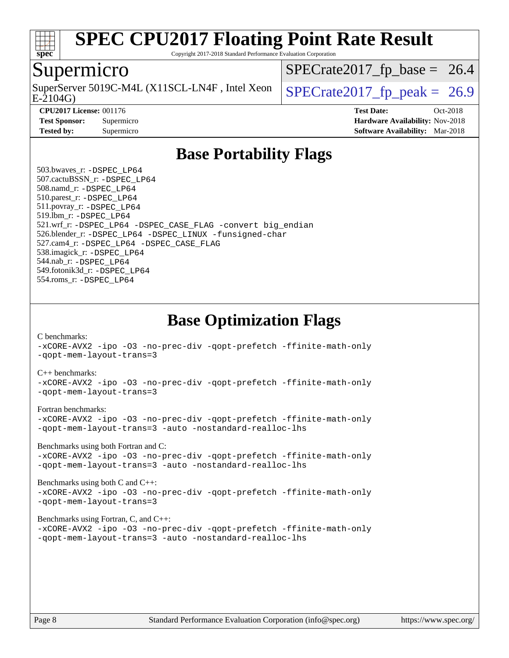

Copyright 2017-2018 Standard Performance Evaluation Corporation

## Supermicro

E-2104G) SuperServer 5019C-M4L (X11SCL-LN4F, Intel Xeon  $\big|$  SPECrate 2017 fp peak = 26.9

 $SPECrate2017_fp\_base = 26.4$ 

**[Tested by:](http://www.spec.org/auto/cpu2017/Docs/result-fields.html#Testedby)** Supermicro **[Software Availability:](http://www.spec.org/auto/cpu2017/Docs/result-fields.html#SoftwareAvailability)** Mar-2018

**[CPU2017 License:](http://www.spec.org/auto/cpu2017/Docs/result-fields.html#CPU2017License)** 001176 **[Test Date:](http://www.spec.org/auto/cpu2017/Docs/result-fields.html#TestDate)** Oct-2018 **[Test Sponsor:](http://www.spec.org/auto/cpu2017/Docs/result-fields.html#TestSponsor)** Supermicro **[Hardware Availability:](http://www.spec.org/auto/cpu2017/Docs/result-fields.html#HardwareAvailability)** Nov-2018

## **[Base Portability Flags](http://www.spec.org/auto/cpu2017/Docs/result-fields.html#BasePortabilityFlags)**

 503.bwaves\_r: [-DSPEC\\_LP64](http://www.spec.org/cpu2017/results/res2018q4/cpu2017-20181112-09608.flags.html#suite_basePORTABILITY503_bwaves_r_DSPEC_LP64) 507.cactuBSSN\_r: [-DSPEC\\_LP64](http://www.spec.org/cpu2017/results/res2018q4/cpu2017-20181112-09608.flags.html#suite_basePORTABILITY507_cactuBSSN_r_DSPEC_LP64) 508.namd\_r: [-DSPEC\\_LP64](http://www.spec.org/cpu2017/results/res2018q4/cpu2017-20181112-09608.flags.html#suite_basePORTABILITY508_namd_r_DSPEC_LP64) 510.parest\_r: [-DSPEC\\_LP64](http://www.spec.org/cpu2017/results/res2018q4/cpu2017-20181112-09608.flags.html#suite_basePORTABILITY510_parest_r_DSPEC_LP64) 511.povray\_r: [-DSPEC\\_LP64](http://www.spec.org/cpu2017/results/res2018q4/cpu2017-20181112-09608.flags.html#suite_basePORTABILITY511_povray_r_DSPEC_LP64) 519.lbm\_r: [-DSPEC\\_LP64](http://www.spec.org/cpu2017/results/res2018q4/cpu2017-20181112-09608.flags.html#suite_basePORTABILITY519_lbm_r_DSPEC_LP64) 521.wrf\_r: [-DSPEC\\_LP64](http://www.spec.org/cpu2017/results/res2018q4/cpu2017-20181112-09608.flags.html#suite_basePORTABILITY521_wrf_r_DSPEC_LP64) [-DSPEC\\_CASE\\_FLAG](http://www.spec.org/cpu2017/results/res2018q4/cpu2017-20181112-09608.flags.html#b521.wrf_r_baseCPORTABILITY_DSPEC_CASE_FLAG) [-convert big\\_endian](http://www.spec.org/cpu2017/results/res2018q4/cpu2017-20181112-09608.flags.html#user_baseFPORTABILITY521_wrf_r_convert_big_endian_c3194028bc08c63ac5d04de18c48ce6d347e4e562e8892b8bdbdc0214820426deb8554edfa529a3fb25a586e65a3d812c835984020483e7e73212c4d31a38223) 526.blender\_r: [-DSPEC\\_LP64](http://www.spec.org/cpu2017/results/res2018q4/cpu2017-20181112-09608.flags.html#suite_basePORTABILITY526_blender_r_DSPEC_LP64) [-DSPEC\\_LINUX](http://www.spec.org/cpu2017/results/res2018q4/cpu2017-20181112-09608.flags.html#b526.blender_r_baseCPORTABILITY_DSPEC_LINUX) [-funsigned-char](http://www.spec.org/cpu2017/results/res2018q4/cpu2017-20181112-09608.flags.html#user_baseCPORTABILITY526_blender_r_force_uchar_40c60f00ab013830e2dd6774aeded3ff59883ba5a1fc5fc14077f794d777847726e2a5858cbc7672e36e1b067e7e5c1d9a74f7176df07886a243d7cc18edfe67) 527.cam4\_r: [-DSPEC\\_LP64](http://www.spec.org/cpu2017/results/res2018q4/cpu2017-20181112-09608.flags.html#suite_basePORTABILITY527_cam4_r_DSPEC_LP64) [-DSPEC\\_CASE\\_FLAG](http://www.spec.org/cpu2017/results/res2018q4/cpu2017-20181112-09608.flags.html#b527.cam4_r_baseCPORTABILITY_DSPEC_CASE_FLAG) 538.imagick\_r: [-DSPEC\\_LP64](http://www.spec.org/cpu2017/results/res2018q4/cpu2017-20181112-09608.flags.html#suite_basePORTABILITY538_imagick_r_DSPEC_LP64) 544.nab\_r: [-DSPEC\\_LP64](http://www.spec.org/cpu2017/results/res2018q4/cpu2017-20181112-09608.flags.html#suite_basePORTABILITY544_nab_r_DSPEC_LP64) 549.fotonik3d\_r: [-DSPEC\\_LP64](http://www.spec.org/cpu2017/results/res2018q4/cpu2017-20181112-09608.flags.html#suite_basePORTABILITY549_fotonik3d_r_DSPEC_LP64) 554.roms\_r: [-DSPEC\\_LP64](http://www.spec.org/cpu2017/results/res2018q4/cpu2017-20181112-09608.flags.html#suite_basePORTABILITY554_roms_r_DSPEC_LP64)

**[Base Optimization Flags](http://www.spec.org/auto/cpu2017/Docs/result-fields.html#BaseOptimizationFlags)**

[C benchmarks](http://www.spec.org/auto/cpu2017/Docs/result-fields.html#Cbenchmarks):

[-xCORE-AVX2](http://www.spec.org/cpu2017/results/res2018q4/cpu2017-20181112-09608.flags.html#user_CCbase_f-xCORE-AVX2) [-ipo](http://www.spec.org/cpu2017/results/res2018q4/cpu2017-20181112-09608.flags.html#user_CCbase_f-ipo) [-O3](http://www.spec.org/cpu2017/results/res2018q4/cpu2017-20181112-09608.flags.html#user_CCbase_f-O3) [-no-prec-div](http://www.spec.org/cpu2017/results/res2018q4/cpu2017-20181112-09608.flags.html#user_CCbase_f-no-prec-div) [-qopt-prefetch](http://www.spec.org/cpu2017/results/res2018q4/cpu2017-20181112-09608.flags.html#user_CCbase_f-qopt-prefetch) [-ffinite-math-only](http://www.spec.org/cpu2017/results/res2018q4/cpu2017-20181112-09608.flags.html#user_CCbase_f_finite_math_only_cb91587bd2077682c4b38af759c288ed7c732db004271a9512da14a4f8007909a5f1427ecbf1a0fb78ff2a814402c6114ac565ca162485bbcae155b5e4258871) [-qopt-mem-layout-trans=3](http://www.spec.org/cpu2017/results/res2018q4/cpu2017-20181112-09608.flags.html#user_CCbase_f-qopt-mem-layout-trans_de80db37974c74b1f0e20d883f0b675c88c3b01e9d123adea9b28688d64333345fb62bc4a798493513fdb68f60282f9a726aa07f478b2f7113531aecce732043)

#### [C++ benchmarks:](http://www.spec.org/auto/cpu2017/Docs/result-fields.html#CXXbenchmarks)

[-xCORE-AVX2](http://www.spec.org/cpu2017/results/res2018q4/cpu2017-20181112-09608.flags.html#user_CXXbase_f-xCORE-AVX2) [-ipo](http://www.spec.org/cpu2017/results/res2018q4/cpu2017-20181112-09608.flags.html#user_CXXbase_f-ipo) [-O3](http://www.spec.org/cpu2017/results/res2018q4/cpu2017-20181112-09608.flags.html#user_CXXbase_f-O3) [-no-prec-div](http://www.spec.org/cpu2017/results/res2018q4/cpu2017-20181112-09608.flags.html#user_CXXbase_f-no-prec-div) [-qopt-prefetch](http://www.spec.org/cpu2017/results/res2018q4/cpu2017-20181112-09608.flags.html#user_CXXbase_f-qopt-prefetch) [-ffinite-math-only](http://www.spec.org/cpu2017/results/res2018q4/cpu2017-20181112-09608.flags.html#user_CXXbase_f_finite_math_only_cb91587bd2077682c4b38af759c288ed7c732db004271a9512da14a4f8007909a5f1427ecbf1a0fb78ff2a814402c6114ac565ca162485bbcae155b5e4258871) [-qopt-mem-layout-trans=3](http://www.spec.org/cpu2017/results/res2018q4/cpu2017-20181112-09608.flags.html#user_CXXbase_f-qopt-mem-layout-trans_de80db37974c74b1f0e20d883f0b675c88c3b01e9d123adea9b28688d64333345fb62bc4a798493513fdb68f60282f9a726aa07f478b2f7113531aecce732043)

#### [Fortran benchmarks](http://www.spec.org/auto/cpu2017/Docs/result-fields.html#Fortranbenchmarks):

[-xCORE-AVX2](http://www.spec.org/cpu2017/results/res2018q4/cpu2017-20181112-09608.flags.html#user_FCbase_f-xCORE-AVX2) [-ipo](http://www.spec.org/cpu2017/results/res2018q4/cpu2017-20181112-09608.flags.html#user_FCbase_f-ipo) [-O3](http://www.spec.org/cpu2017/results/res2018q4/cpu2017-20181112-09608.flags.html#user_FCbase_f-O3) [-no-prec-div](http://www.spec.org/cpu2017/results/res2018q4/cpu2017-20181112-09608.flags.html#user_FCbase_f-no-prec-div) [-qopt-prefetch](http://www.spec.org/cpu2017/results/res2018q4/cpu2017-20181112-09608.flags.html#user_FCbase_f-qopt-prefetch) [-ffinite-math-only](http://www.spec.org/cpu2017/results/res2018q4/cpu2017-20181112-09608.flags.html#user_FCbase_f_finite_math_only_cb91587bd2077682c4b38af759c288ed7c732db004271a9512da14a4f8007909a5f1427ecbf1a0fb78ff2a814402c6114ac565ca162485bbcae155b5e4258871) [-qopt-mem-layout-trans=3](http://www.spec.org/cpu2017/results/res2018q4/cpu2017-20181112-09608.flags.html#user_FCbase_f-qopt-mem-layout-trans_de80db37974c74b1f0e20d883f0b675c88c3b01e9d123adea9b28688d64333345fb62bc4a798493513fdb68f60282f9a726aa07f478b2f7113531aecce732043) [-auto](http://www.spec.org/cpu2017/results/res2018q4/cpu2017-20181112-09608.flags.html#user_FCbase_f-auto) [-nostandard-realloc-lhs](http://www.spec.org/cpu2017/results/res2018q4/cpu2017-20181112-09608.flags.html#user_FCbase_f_2003_std_realloc_82b4557e90729c0f113870c07e44d33d6f5a304b4f63d4c15d2d0f1fab99f5daaed73bdb9275d9ae411527f28b936061aa8b9c8f2d63842963b95c9dd6426b8a)

[Benchmarks using both Fortran and C](http://www.spec.org/auto/cpu2017/Docs/result-fields.html#BenchmarksusingbothFortranandC):

[-xCORE-AVX2](http://www.spec.org/cpu2017/results/res2018q4/cpu2017-20181112-09608.flags.html#user_CC_FCbase_f-xCORE-AVX2) [-ipo](http://www.spec.org/cpu2017/results/res2018q4/cpu2017-20181112-09608.flags.html#user_CC_FCbase_f-ipo) [-O3](http://www.spec.org/cpu2017/results/res2018q4/cpu2017-20181112-09608.flags.html#user_CC_FCbase_f-O3) [-no-prec-div](http://www.spec.org/cpu2017/results/res2018q4/cpu2017-20181112-09608.flags.html#user_CC_FCbase_f-no-prec-div) [-qopt-prefetch](http://www.spec.org/cpu2017/results/res2018q4/cpu2017-20181112-09608.flags.html#user_CC_FCbase_f-qopt-prefetch) [-ffinite-math-only](http://www.spec.org/cpu2017/results/res2018q4/cpu2017-20181112-09608.flags.html#user_CC_FCbase_f_finite_math_only_cb91587bd2077682c4b38af759c288ed7c732db004271a9512da14a4f8007909a5f1427ecbf1a0fb78ff2a814402c6114ac565ca162485bbcae155b5e4258871) [-qopt-mem-layout-trans=3](http://www.spec.org/cpu2017/results/res2018q4/cpu2017-20181112-09608.flags.html#user_CC_FCbase_f-qopt-mem-layout-trans_de80db37974c74b1f0e20d883f0b675c88c3b01e9d123adea9b28688d64333345fb62bc4a798493513fdb68f60282f9a726aa07f478b2f7113531aecce732043) [-auto](http://www.spec.org/cpu2017/results/res2018q4/cpu2017-20181112-09608.flags.html#user_CC_FCbase_f-auto) [-nostandard-realloc-lhs](http://www.spec.org/cpu2017/results/res2018q4/cpu2017-20181112-09608.flags.html#user_CC_FCbase_f_2003_std_realloc_82b4557e90729c0f113870c07e44d33d6f5a304b4f63d4c15d2d0f1fab99f5daaed73bdb9275d9ae411527f28b936061aa8b9c8f2d63842963b95c9dd6426b8a)

[Benchmarks using both C and C++](http://www.spec.org/auto/cpu2017/Docs/result-fields.html#BenchmarksusingbothCandCXX): [-xCORE-AVX2](http://www.spec.org/cpu2017/results/res2018q4/cpu2017-20181112-09608.flags.html#user_CC_CXXbase_f-xCORE-AVX2) [-ipo](http://www.spec.org/cpu2017/results/res2018q4/cpu2017-20181112-09608.flags.html#user_CC_CXXbase_f-ipo) [-O3](http://www.spec.org/cpu2017/results/res2018q4/cpu2017-20181112-09608.flags.html#user_CC_CXXbase_f-O3) [-no-prec-div](http://www.spec.org/cpu2017/results/res2018q4/cpu2017-20181112-09608.flags.html#user_CC_CXXbase_f-no-prec-div) [-qopt-prefetch](http://www.spec.org/cpu2017/results/res2018q4/cpu2017-20181112-09608.flags.html#user_CC_CXXbase_f-qopt-prefetch) [-ffinite-math-only](http://www.spec.org/cpu2017/results/res2018q4/cpu2017-20181112-09608.flags.html#user_CC_CXXbase_f_finite_math_only_cb91587bd2077682c4b38af759c288ed7c732db004271a9512da14a4f8007909a5f1427ecbf1a0fb78ff2a814402c6114ac565ca162485bbcae155b5e4258871) [-qopt-mem-layout-trans=3](http://www.spec.org/cpu2017/results/res2018q4/cpu2017-20181112-09608.flags.html#user_CC_CXXbase_f-qopt-mem-layout-trans_de80db37974c74b1f0e20d883f0b675c88c3b01e9d123adea9b28688d64333345fb62bc4a798493513fdb68f60282f9a726aa07f478b2f7113531aecce732043)

#### [Benchmarks using Fortran, C, and C++:](http://www.spec.org/auto/cpu2017/Docs/result-fields.html#BenchmarksusingFortranCandCXX)

[-xCORE-AVX2](http://www.spec.org/cpu2017/results/res2018q4/cpu2017-20181112-09608.flags.html#user_CC_CXX_FCbase_f-xCORE-AVX2) [-ipo](http://www.spec.org/cpu2017/results/res2018q4/cpu2017-20181112-09608.flags.html#user_CC_CXX_FCbase_f-ipo) [-O3](http://www.spec.org/cpu2017/results/res2018q4/cpu2017-20181112-09608.flags.html#user_CC_CXX_FCbase_f-O3) [-no-prec-div](http://www.spec.org/cpu2017/results/res2018q4/cpu2017-20181112-09608.flags.html#user_CC_CXX_FCbase_f-no-prec-div) [-qopt-prefetch](http://www.spec.org/cpu2017/results/res2018q4/cpu2017-20181112-09608.flags.html#user_CC_CXX_FCbase_f-qopt-prefetch) [-ffinite-math-only](http://www.spec.org/cpu2017/results/res2018q4/cpu2017-20181112-09608.flags.html#user_CC_CXX_FCbase_f_finite_math_only_cb91587bd2077682c4b38af759c288ed7c732db004271a9512da14a4f8007909a5f1427ecbf1a0fb78ff2a814402c6114ac565ca162485bbcae155b5e4258871) [-qopt-mem-layout-trans=3](http://www.spec.org/cpu2017/results/res2018q4/cpu2017-20181112-09608.flags.html#user_CC_CXX_FCbase_f-qopt-mem-layout-trans_de80db37974c74b1f0e20d883f0b675c88c3b01e9d123adea9b28688d64333345fb62bc4a798493513fdb68f60282f9a726aa07f478b2f7113531aecce732043) [-auto](http://www.spec.org/cpu2017/results/res2018q4/cpu2017-20181112-09608.flags.html#user_CC_CXX_FCbase_f-auto) [-nostandard-realloc-lhs](http://www.spec.org/cpu2017/results/res2018q4/cpu2017-20181112-09608.flags.html#user_CC_CXX_FCbase_f_2003_std_realloc_82b4557e90729c0f113870c07e44d33d6f5a304b4f63d4c15d2d0f1fab99f5daaed73bdb9275d9ae411527f28b936061aa8b9c8f2d63842963b95c9dd6426b8a)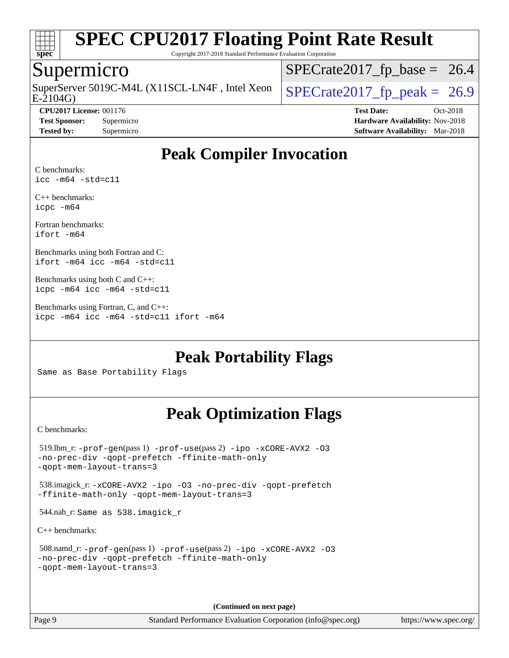

Copyright 2017-2018 Standard Performance Evaluation Corporation

## Supermicro

E-2104G) SuperServer 5019C-M4L (X11SCL-LN4F, Intel Xeon  $\big|$  [SPECrate2017\\_fp\\_peak =](http://www.spec.org/auto/cpu2017/Docs/result-fields.html#SPECrate2017fppeak) 26.9

 $SPECrate2017_fp\_base = 26.4$ 

**[Tested by:](http://www.spec.org/auto/cpu2017/Docs/result-fields.html#Testedby)** Supermicro **[Software Availability:](http://www.spec.org/auto/cpu2017/Docs/result-fields.html#SoftwareAvailability)** Mar-2018

**[CPU2017 License:](http://www.spec.org/auto/cpu2017/Docs/result-fields.html#CPU2017License)** 001176 **[Test Date:](http://www.spec.org/auto/cpu2017/Docs/result-fields.html#TestDate)** Oct-2018 **[Test Sponsor:](http://www.spec.org/auto/cpu2017/Docs/result-fields.html#TestSponsor)** Supermicro **[Hardware Availability:](http://www.spec.org/auto/cpu2017/Docs/result-fields.html#HardwareAvailability)** Nov-2018

## **[Peak Compiler Invocation](http://www.spec.org/auto/cpu2017/Docs/result-fields.html#PeakCompilerInvocation)**

[C benchmarks:](http://www.spec.org/auto/cpu2017/Docs/result-fields.html#Cbenchmarks) [icc -m64 -std=c11](http://www.spec.org/cpu2017/results/res2018q4/cpu2017-20181112-09608.flags.html#user_CCpeak_intel_icc_64bit_c11_33ee0cdaae7deeeab2a9725423ba97205ce30f63b9926c2519791662299b76a0318f32ddfffdc46587804de3178b4f9328c46fa7c2b0cd779d7a61945c91cd35)

[C++ benchmarks:](http://www.spec.org/auto/cpu2017/Docs/result-fields.html#CXXbenchmarks) [icpc -m64](http://www.spec.org/cpu2017/results/res2018q4/cpu2017-20181112-09608.flags.html#user_CXXpeak_intel_icpc_64bit_4ecb2543ae3f1412ef961e0650ca070fec7b7afdcd6ed48761b84423119d1bf6bdf5cad15b44d48e7256388bc77273b966e5eb805aefd121eb22e9299b2ec9d9)

[Fortran benchmarks](http://www.spec.org/auto/cpu2017/Docs/result-fields.html#Fortranbenchmarks): [ifort -m64](http://www.spec.org/cpu2017/results/res2018q4/cpu2017-20181112-09608.flags.html#user_FCpeak_intel_ifort_64bit_24f2bb282fbaeffd6157abe4f878425411749daecae9a33200eee2bee2fe76f3b89351d69a8130dd5949958ce389cf37ff59a95e7a40d588e8d3a57e0c3fd751)

[Benchmarks using both Fortran and C:](http://www.spec.org/auto/cpu2017/Docs/result-fields.html#BenchmarksusingbothFortranandC) [ifort -m64](http://www.spec.org/cpu2017/results/res2018q4/cpu2017-20181112-09608.flags.html#user_CC_FCpeak_intel_ifort_64bit_24f2bb282fbaeffd6157abe4f878425411749daecae9a33200eee2bee2fe76f3b89351d69a8130dd5949958ce389cf37ff59a95e7a40d588e8d3a57e0c3fd751) [icc -m64 -std=c11](http://www.spec.org/cpu2017/results/res2018q4/cpu2017-20181112-09608.flags.html#user_CC_FCpeak_intel_icc_64bit_c11_33ee0cdaae7deeeab2a9725423ba97205ce30f63b9926c2519791662299b76a0318f32ddfffdc46587804de3178b4f9328c46fa7c2b0cd779d7a61945c91cd35)

[Benchmarks using both C and C++](http://www.spec.org/auto/cpu2017/Docs/result-fields.html#BenchmarksusingbothCandCXX): [icpc -m64](http://www.spec.org/cpu2017/results/res2018q4/cpu2017-20181112-09608.flags.html#user_CC_CXXpeak_intel_icpc_64bit_4ecb2543ae3f1412ef961e0650ca070fec7b7afdcd6ed48761b84423119d1bf6bdf5cad15b44d48e7256388bc77273b966e5eb805aefd121eb22e9299b2ec9d9) [icc -m64 -std=c11](http://www.spec.org/cpu2017/results/res2018q4/cpu2017-20181112-09608.flags.html#user_CC_CXXpeak_intel_icc_64bit_c11_33ee0cdaae7deeeab2a9725423ba97205ce30f63b9926c2519791662299b76a0318f32ddfffdc46587804de3178b4f9328c46fa7c2b0cd779d7a61945c91cd35)

[Benchmarks using Fortran, C, and C++:](http://www.spec.org/auto/cpu2017/Docs/result-fields.html#BenchmarksusingFortranCandCXX) [icpc -m64](http://www.spec.org/cpu2017/results/res2018q4/cpu2017-20181112-09608.flags.html#user_CC_CXX_FCpeak_intel_icpc_64bit_4ecb2543ae3f1412ef961e0650ca070fec7b7afdcd6ed48761b84423119d1bf6bdf5cad15b44d48e7256388bc77273b966e5eb805aefd121eb22e9299b2ec9d9) [icc -m64 -std=c11](http://www.spec.org/cpu2017/results/res2018q4/cpu2017-20181112-09608.flags.html#user_CC_CXX_FCpeak_intel_icc_64bit_c11_33ee0cdaae7deeeab2a9725423ba97205ce30f63b9926c2519791662299b76a0318f32ddfffdc46587804de3178b4f9328c46fa7c2b0cd779d7a61945c91cd35) [ifort -m64](http://www.spec.org/cpu2017/results/res2018q4/cpu2017-20181112-09608.flags.html#user_CC_CXX_FCpeak_intel_ifort_64bit_24f2bb282fbaeffd6157abe4f878425411749daecae9a33200eee2bee2fe76f3b89351d69a8130dd5949958ce389cf37ff59a95e7a40d588e8d3a57e0c3fd751)

**[Peak Portability Flags](http://www.spec.org/auto/cpu2017/Docs/result-fields.html#PeakPortabilityFlags)**

Same as Base Portability Flags

## **[Peak Optimization Flags](http://www.spec.org/auto/cpu2017/Docs/result-fields.html#PeakOptimizationFlags)**

[C benchmarks](http://www.spec.org/auto/cpu2017/Docs/result-fields.html#Cbenchmarks):

```
 519.lbm_r: -prof-gen(pass 1) -prof-use(pass 2) -ipo -xCORE-AVX2 -O3
-no-prec-div -qopt-prefetch -ffinite-math-only
-qopt-mem-layout-trans=3
 538.imagick_r: -xCORE-AVX2 -ipo -O3 -no-prec-div -qopt-prefetch
-ffinite-math-only -qopt-mem-layout-trans=3
 544.nab_r: Same as 538.imagick_r
C++ benchmarks: 
 508.namd_r: -prof-gen(pass 1) -prof-use(pass 2) -ipo -xCORE-AVX2 -O3
-no-prec-div -qopt-prefetch -ffinite-math-only
-qopt-mem-layout-trans=3
```
**(Continued on next page)**

Page 9 Standard Performance Evaluation Corporation [\(info@spec.org\)](mailto:info@spec.org) <https://www.spec.org/>